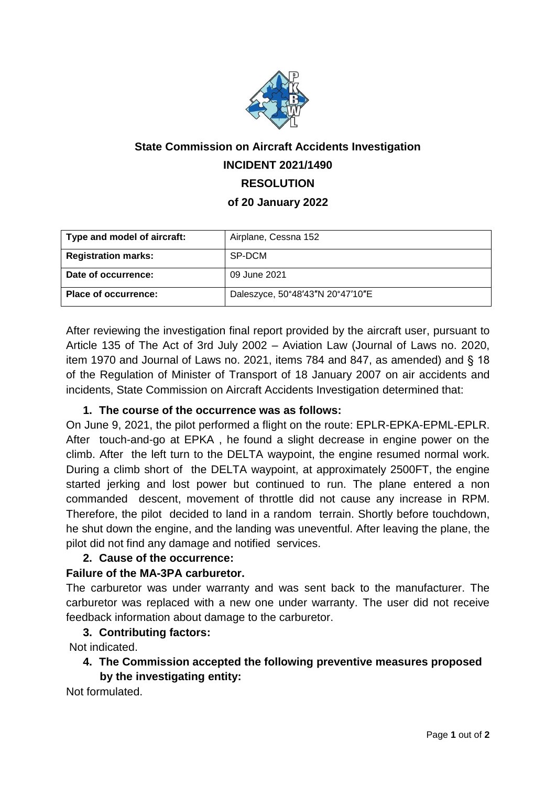

# **State Commission on Aircraft Accidents Investigation INCIDENT 2021/1490 RESOLUTION of 20 January 2022**

| Type and model of aircraft: | Airplane, Cessna 152             |
|-----------------------------|----------------------------------|
| <b>Registration marks:</b>  | SP-DCM                           |
| Date of occurrence:         | 09 June 2021                     |
| <b>Place of occurrence:</b> | Daleszyce, 50°48'43"N 20°47'10"E |

After reviewing the investigation final report provided by the aircraft user, pursuant to Article 135 of The Act of 3rd July 2002 – Aviation Law (Journal of Laws no. 2020, item 1970 and Journal of Laws no. 2021, items 784 and 847, as amended) and § 18 of the Regulation of Minister of Transport of 18 January 2007 on air accidents and incidents, State Commission on Aircraft Accidents Investigation determined that:

### **1. The course of the occurrence was as follows:**

On June 9, 2021, the pilot performed a flight on the route: EPLR-EPKA-EPML-EPLR. After touch-and-go at EPKA , he found a slight decrease in engine power on the climb. After the left turn to the DELTA waypoint, the engine resumed normal work. During a climb short of the DELTA waypoint, at approximately 2500FT, the engine started jerking and lost power but continued to run. The plane entered a non commanded descent, movement of throttle did not cause any increase in RPM. Therefore, the pilot decided to land in a random terrain. Shortly before touchdown, he shut down the engine, and the landing was uneventful. After leaving the plane, the pilot did not find any damage and notified services.

### **2. Cause of the occurrence:**

### **Failure of the MA-3PA carburetor.**

The carburetor was under warranty and was sent back to the manufacturer. The carburetor was replaced with a new one under warranty. The user did not receive feedback information about damage to the carburetor.

### **3. Contributing factors:**

Not indicated.

**4. The Commission accepted the following preventive measures proposed by the investigating entity:**

Not formulated.